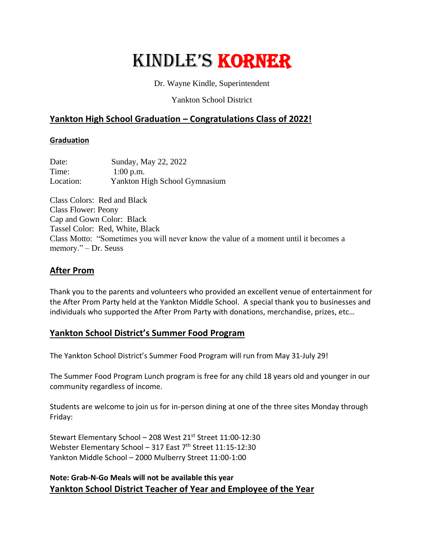# Kindle's Korner

Dr. Wayne Kindle, Superintendent

Yankton School District

# **Yankton High School Graduation – Congratulations Class of 2022!**

#### **Graduation**

| Date:     | Sunday, May 22, 2022          |
|-----------|-------------------------------|
| Time:     | $1:00$ p.m.                   |
| Location: | Yankton High School Gymnasium |

Class Colors: Red and Black Class Flower: Peony Cap and Gown Color: Black Tassel Color: Red, White, Black Class Motto: "Sometimes you will never know the value of a moment until it becomes a memory." – Dr. Seuss

# **After Prom**

Thank you to the parents and volunteers who provided an excellent venue of entertainment for the After Prom Party held at the Yankton Middle School. A special thank you to businesses and individuals who supported the After Prom Party with donations, merchandise, prizes, etc…

## **Yankton School District's Summer Food Program**

The Yankton School District's Summer Food Program will run from May 31-July 29!

The Summer Food Program Lunch program is free for any child 18 years old and younger in our community regardless of income.

Students are welcome to join us for in-person dining at one of the three sites Monday through Friday:

Stewart Elementary School - 208 West 21<sup>st</sup> Street 11:00-12:30 Webster Elementary School - 317 East  $7<sup>th</sup>$  Street 11:15-12:30 Yankton Middle School – 2000 Mulberry Street 11:00-1:00

## **Note: Grab-N-Go Meals will not be available this year Yankton School District Teacher of Year and Employee of the Year**